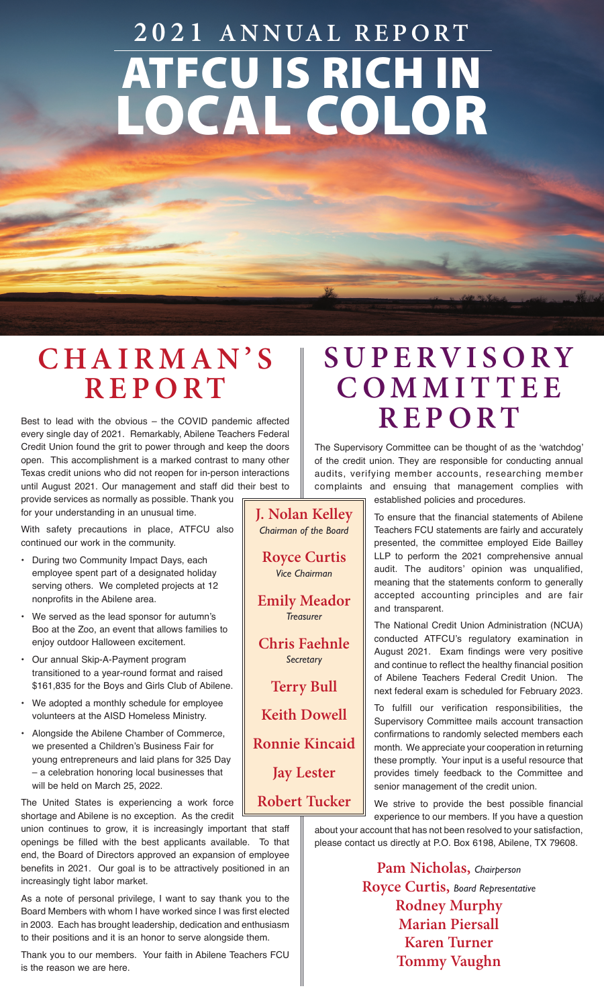# ATFCU IS RICH IN LOCAL COLOR **2021 ANNUAL REPORT**

#### **C H A I R M A N ' S R E P O R T**

Best to lead with the obvious – the COVID pandemic affected every single day of 2021. Remarkably, Abilene Teachers Federal Credit Union found the grit to power through and keep the doors open. This accomplishment is a marked contrast to many other Texas credit unions who did not reopen for in-person interactions until August 2021. Our management and staff did their best to provide services as normally as possible. Thank you

for your understanding in an unusual time.

With safety precautions in place, ATFCU also continued our work in the community.

- During two Community Impact Days, each employee spent part of a designated holiday serving others. We completed projects at 12 nonprofits in the Abilene area.
- We served as the lead sponsor for autumn's Boo at the Zoo, an event that allows families to enjoy outdoor Halloween excitement.
- Our annual Skip-A-Payment program transitioned to a year-round format and raised \$161,835 for the Boys and Girls Club of Abilene.
- We adopted a monthly schedule for employee volunteers at the AISD Homeless Ministry.
- Alongside the Abilene Chamber of Commerce, we presented a Children's Business Fair for young entrepreneurs and laid plans for 325 Day – a celebration honoring local businesses that will be held on March 25, 2022.

The United States is experiencing a work force shortage and Abilene is no exception. As the credit

union continues to grow, it is increasingly important that staff openings be filled with the best applicants available. To that end, the Board of Directors approved an expansion of employee benefits in 2021. Our goal is to be attractively positioned in an increasingly tight labor market.

As a note of personal privilege, I want to say thank you to the Board Members with whom I have worked since I was first elected in 2003. Each has brought leadership, dedication and enthusiasm to their positions and it is an honor to serve alongside them.

Thank you to our members. Your faith in Abilene Teachers FCU is the reason we are here.

#### **S U P E RV I S O RY C O M M I T T E E REPORT**

The Supervisory Committee can be thought of as the 'watchdog' of the credit union. They are responsible for conducting annual audits, verifying member accounts, researching member complaints and ensuing that management complies with established policies and procedures.

> To ensure that the financial statements of Abilene Teachers FCU statements are fairly and accurately presented, the committee employed Eide Bailley LLP to perform the 2021 comprehensive annual audit. The auditors' opinion was unqualified, meaning that the statements conform to generally accepted accounting principles and are fair and transparent.

> The National Credit Union Administration (NCUA) conducted ATFCU's regulatory examination in August 2021. Exam findings were very positive and continue to reflect the healthy financial position of Abilene Teachers Federal Credit Union. The next federal exam is scheduled for February 2023.

> To fulfill our verification responsibilities, the Supervisory Committee mails account transaction confirmations to randomly selected members each month. We appreciate your cooperation in returning these promptly. Your input is a useful resource that provides timely feedback to the Committee and senior management of the credit union.

We strive to provide the best possible financial experience to our members. If you have a question

about your account that has not been resolved to your satisfaction, please contact us directly at P.O. Box 6198, Abilene, TX 79608.

> **Pam Nicholas,** *Chairperson* **Royce Curtis,** *Board Representative* **Rodney Murphy Marian Piersall Karen Turner Tommy Vaughn**

**Royce Curtis** *Vice Chairman* **Emily Meador** *Treasurer* **Chris Faehnle** *Secretary* **Terry Bull Keith Dowell Ronnie Kincaid Jay Lester**

**Robert Tucker**

**J. Nolan Kelley**  *Chairman of the Board*

 $\overline{\phantom{a}}$ 

 $\overline{\phantom{a}}$ 

 $\overline{\phantom{a}}$